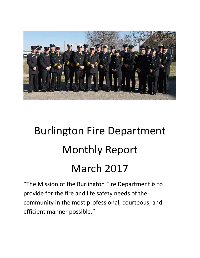

# Burlington Fire Department Monthly Report March 2017

"The Mission of the Burlington Fire Department is to provide for the fire and life safety needs of the community in the most professional, courteous, and efficient manner possible."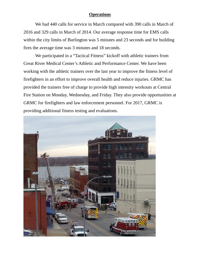#### **Operations**

We had 440 calls for service in March compared with 390 calls in March of 2016 and 329 calls in March of 2014. Our average response time for EMS calls within the city limits of Burlington was 5 minutes and 23 seconds and for building fires the average time was 3 minutes and 18 seconds.

We participated in a "Tactical Fitness" kickoff with athletic trainers from Great River Medical Center's Athletic and Performance Center. We have been working with the athletic trainers over the last year to improve the fitness level of firefighters in an effort to improve overall health and reduce injuries. GRMC has provided the trainers free of charge to provide high intensity workouts at Central Fire Station on Monday, Wednesday, and Friday. They also provide opportunities at GRMC for firefighters and law enforcement personnel. For 2017, GRMC is providing additional fitness testing and evaluations.

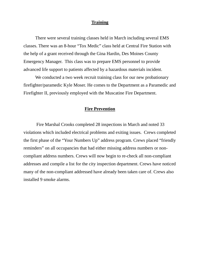### **Training**

There were several training classes held in March including several EMS classes. There was an 8-hour "Tox Medic" class held at Central Fire Station with the help of a grant received through the Gina Hardin, Des Moines County Emergency Manager. This class was to prepare EMS personnel to provide advanced life support to patients affected by a hazardous materials incident.

We conducted a two week recruit training class for our new probationary firefighter/paramedic Kyle Moser. He comes to the Department as a Paramedic and Firefighter II, previously employed with the Muscatine Fire Department.

### **Fire Prevention**

 Fire Marshal Crooks completed 28 inspections in March and noted 33 violations which included electrical problems and exiting issues. Crews completed the first phase of the "Your Numbers Up" address program. Crews placed "friendly reminders" on all occupancies that had either missing address numbers or noncompliant address numbers. Crews will now begin to re-check all non-compliant addresses and compile a list for the city inspection department. Crews have noticed many of the non-compliant addressed have already been taken care of. Crews also installed 9 smoke alarms.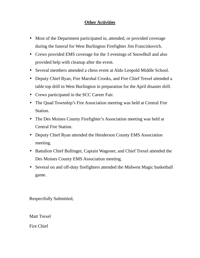## **Other Activities**

- Most of the Department participated in, attended, or provided coverage during the funeral for West Burlington Firefighter Jim Franciskovich.
- Crews provided EMS coverage for the 3 evenings of SnowBull and also provided help with cleanup after the event.
- Several members attended a chess event at Aldo Leopold Middle School.
- Deputy Chief Ryan, Fire Marshal Crooks, and Fire Chief Trexel attended a table top drill in West Burlington in preparation for the April disaster drill.
- Crews participated in the SCC Career Fair.
- The Quad Township's Fire Association meeting was held at Central Fire Station.
- The Des Moines County Firefighter's Association meeting was held at Central Fire Station.
- Deputy Chief Ryan attended the Henderson County EMS Association meeting.
- Battalion Chief Bullinger, Captain Wagoner, and Chief Trexel attended the Des Moines County EMS Association meeting.
- Several on and off-duty firefighters attended the Midwest Magic basketball game.

Respectfully Submitted,

Matt Trexel

Fire Chief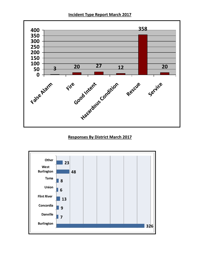**Incident Type Report March 2017** 



## **Responses By District March 2017**

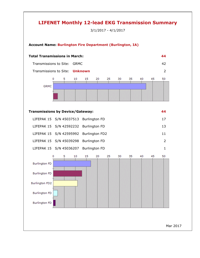## **LIFENET Monthly 12-lead EKG Transmission Summary**

3/1/2017 - 4/1/2017



Mar 2017